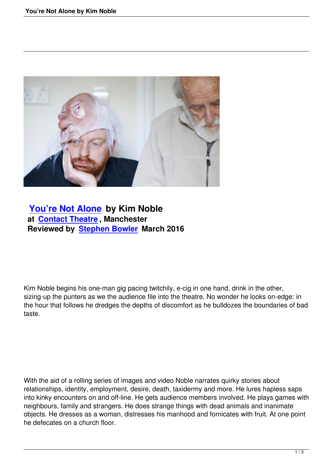

## **You're Not Alone by Kim Noble at Contact Theatre , Manchester [Reviewed by Stephe](youre-not-alone-by-kim-noble.html)n Bowler March 2016**

Kim Noble begins his one-man gig pacing twitchily, e-cig in one hand, drink in the other, sizing-up the punters as we the audience file into the theatre. No wonder he looks on-edge: in the hour that follows he dredges the depths of discomfort as he bulldozes the boundaries of bad taste.

With the aid of a rolling series of images and video Noble narrates quirky stories about relationships, identity, employment, desire, death, taxidermy and more. He lures hapless saps into kinky encounters on and off-line. He gets audience members involved. He plays games with neighbours, family and strangers. He does strange things with dead animals and inanimate objects. He dresses as a woman, distresses his manhood and fornicates with fruit. At one point he defecates on a church floor.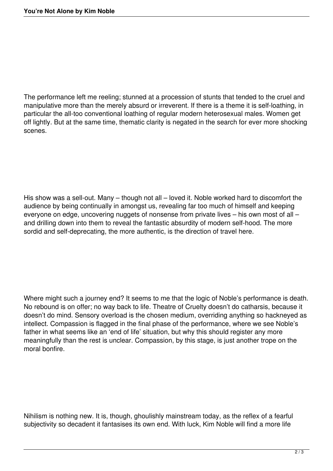The performance left me reeling; stunned at a procession of stunts that tended to the cruel and manipulative more than the merely absurd or irreverent. If there is a theme it is self-loathing, in particular the all-too conventional loathing of regular modern heterosexual males. Women get off lightly. But at the same time, thematic clarity is negated in the search for ever more shocking scenes.

His show was a sell-out. Many – though not all – loved it. Noble worked hard to discomfort the audience by being continually in amongst us, revealing far too much of himself and keeping everyone on edge, uncovering nuggets of nonsense from private lives – his own most of all – and drilling down into them to reveal the fantastic absurdity of modern self-hood. The more sordid and self-deprecating, the more authentic, is the direction of travel here.

Where might such a journey end? It seems to me that the logic of Noble's performance is death. No rebound is on offer; no way back to life. Theatre of Cruelty doesn't do catharsis, because it doesn't do mind. Sensory overload is the chosen medium, overriding anything so hackneyed as intellect. Compassion is flagged in the final phase of the performance, where we see Noble's father in what seems like an 'end of life' situation, but why this should register any more meaningfully than the rest is unclear. Compassion, by this stage, is just another trope on the moral bonfire.

Nihilism is nothing new. It is, though, ghoulishly mainstream today, as the reflex of a fearful subjectivity so decadent it fantasises its own end. With luck, Kim Noble will find a more life